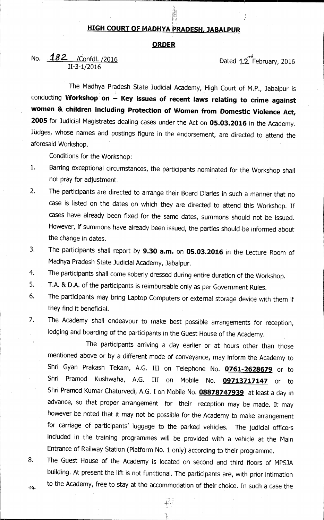## **HIGH COURT OF MADHYA PRADESH, JABALPUR**

#### **ORDER**

# No. **182** / Confdl. /2016 11-3-1/2016

Dated 12<sup>7</sup> February, 2016

The Madhya Pradesh State Judicial Academy, High Court of M.P., Jabalpur is conducting Workshop on - Key issues of recent laws relating to crime against **women & children including Protection of Women from Domestic Violence Act, <sup>2005</sup>**for Judicial Magistrates dealing cases under the Act on **05.03.2016** in the Academy. Judges, whose names and postings figure in the endorsement, are directed to attend the aforesaid Workshop.

Conditions for the Workshop:

 $\bar{\beta}$ 

- 1. Barring exceptional circumstances, the participants nominated for the Workshop shall not pray for adjustment.
- 2. The participants are directed to arrange their Board Diaries in such a manner that no case is listed on the dates on which they are directed to attend this Workshop. If cases have already been fixed for the same dates, summons should not be issued. However, if summons have already been issued, the parties should be informed about the change in dates.
- 3. The participants shall report by **9.30 a.m.** on **05.03.2016** in the Lecture Room of Madhya Pradesh State Judicial Academy, Jabalpur.
- 4. The participants shall come soberly dressed during entire duration of the Workshop.
- 5. T.A. & D.A. of the participants is reimbursable only as per Government Rules.
- 6. The participants may bring Laptop Computers or external storage device with them if they find it beneficial.
- 7. The Academy shall endeavour to make best possible arrangements for reception, lodging and boarding of the participants in the Guest House of the Academy.

The participants arriving a day earlier or at hours other than those mentioned above or by a different mode of conveyance, may inform the Academy to Shri Gyan Prakash Tekam, A.G. III on Telephone No. **0761-2628679** or to Shri Pramod Kushwaha, A.G. III on Mobile No. **09713717147** or to Shri Pramod Kumar Chaturvedi, A.G. I on Mobile No. **08878747939** at least a day in advance, so that proper arrangement for their reception may be made. It may however be noted that it may not be possible for the Academy to make arrangement for carriage of participants' luggage to the parked vehicles. The judicial officers included in the training programmes will be provided with a vehicle at the Main Entrance of Railway Station (Platform No. 1 only) according to their programme.

8. The Guest House of the Academy is located on second and third floors of MPSJA building. At present the lift is not functional. The participants are, with prior intimation to the Academy, free to stay at the accommodation of their choice. In such a case the  $45 -$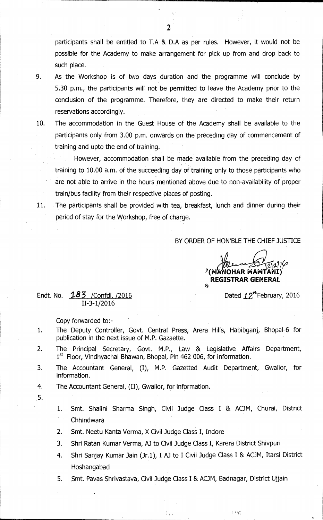participants shall be entitled to T.A & D.A as per rules. However, it would not be possible for the Academy to make arrangement for pick up from and drop back to such place.

- 9. As the Workshop is of two days duration and the programme will conclude by 5.30 p.m., the participants will not be permitted to leave the Academy prior to the conclusion of the programme. Therefore, they are directed to make their return reservations accordingly.
- 10. The accommodation in the Guest House of the Academy shall be available to the participants only from 3.00 p.m. onwards on the preceding day of commencement of training and upto the end of training.

However, accommodation shall be made available from the preceding day of training to 10.00 a.m. of the succeeding day of training only to those participants who are not able to arrive in the hours mentioned above due to non-availability of proper train/bus facility from their respective places of posting.

11. The participants shall be provided with tea, breakfast, lunch and dinner during their period of stay for the Workshop, free of charge.

BY ORDER OF HON'BLE THE CHIEF JUSTICE

s re

**1 -3-1 7(° /v(M OHAR MAMTAV I) REGISTRAR GENERAL** 

### Endt. No.  $183$  /Confdl. /2016 Dated  $12<sup>th</sup>$ February, 2016 II-3-1/2016

Copy forwarded to:-

- 1. The Deputy Controller, Govt. Central Press, Arera Hills, Habibganj, Bhopal-6 for publication in the next issue of M.P. Gazaette.
- 2. The Principal Secretary, Govt. M.P., Law & Legislative Affairs Department, 1<sup>st</sup> Floor, Vindhyachal Bhawan, Bhopal, Pin 462 006, for information.
- 3. The Accountant General, (I), M.P. Gazetted Audit• Department, Gwalior, for information.
- 4. The Accountant General, (II), Gwalior, for information.
- 5.
- 1. Smt. Shalini Sharma Singh, Civil Judge Class I & ACJM, Churai, District **Chhindwara**
- 2. Smt. Neetu Kanta Verma, X Civil Judge Class I, Indore
- 3. Shri Ratan Kumar Verma, AJ to Civil Judge Class I, Karera District Shivpuri
- 4. Shri Sanjay Kumar Jain (Jr.1), I AJ to I Civil Judge Class I & ACJM, Itarsi District Hoshangabad
- 5. Smt. Pavas Shrivastava, Civil Judge Class I & ACJM, Badnagar, District Ujjain

**2**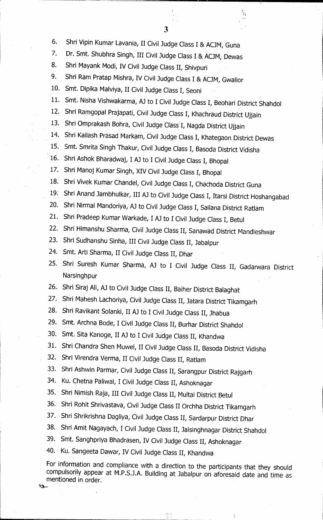- 6. Shri Vipin Kumar Lavania, II Civil Judge Class I & ACJM, Guna
- 7. Dr. Smt. Shubhra Singh, III Civil Judge Class I & ACJM, Dewas
- 8. Shri Mayank Modi, IV Civil Judge Class II, Shivpuri
- 9. Shri Ram Pratap Mishra, IV Civil Judge Class I & ACJM, Gwalior
- 10. Smt. Dipika Malviya, II Civil Judge Class I, Seoni
- 11. Smt. Nisha Vishwakarma, AJ to I Civil Judge Class 1, Beohari District Shahdol
- Shri Ramgopal Prajapati, Civil Judge Class I, Khachraud District Ujjain
- 13. Shri Omprakash Bohra, Civil Judge Class I, Nagda District Ujjain
- 14. Shri Kailash Prasad Markam, Civil Judge Class I, Khategaon District Dewas
- 15. Smt. Smrita Singh Thakur, Civil Judge Class I, Basoda District Vidisha
- 16. 'Shri Ashok Bharadwaj, I AJ to I Civil Judge Class I, Bhopal
- 17. Shri Manoj Kumar Singh, XIV Civil Judge Class I, Bhopal
- 18. Shri Vivek Kumar Chandel, Civil Judge Class I, Chachoda District Guna
- 19: Shri Anand Jambhulkar, III AJ to Civil Judge Class I, Itarsi District Hoshangabad
- 20. Shri Nirmal Mandoriya, AJ to Civil Judge Class I, Sailana District Ratlam
- 21. Shri Pradeep Kumar Warkade, I AJ to I Civil Judge Class I, Betul
- 22. Shri Himanshu Sharma, Civil Judge Class II, Sanawad District Mandleshwar
- 23. Shri Sudhanshu Sinha, III Civil Judge Class II, Jabalpur
- 24. Smt. Arti Sharma, II Civil Judge Class II, Dhar
- 25. Shri Suresh Kumar Sharma, AJ to I Civil Judge Class II, Gadarwara District Narsinghpur
- 26. Shri Siraj Ali, AJ to Civil Judge Class II, Baiher District Balaghat
- 27. Shri Mahesh Lachoriya, Civil Judge Class II, Jatara District Tikamgarh
- 28. Shri Ravikant Solanki, II AJ to I Civil Judge Class II, Jhabua
- 29. Smt. Archna Bode, I Civil Judge Class II, Burhar District Shahdol
- 30. Smt. Sita Kanoge, II AJ to I Civil Judge Class II, Khandwa
- 31. Shri Chandra Shen Muwel, II Civil Judge Class II, Basoda District Vidisha
- 32. Shri Virendra Verma, II Civil Judge Class II, Ratlam
- 33. Shri Ashwin Parmar, Civil Judge Class II, Sarangpur District Rajgarh
- 34. Ku. Chetna Paliwal, I Civil Judge Class II, Ashoknagar
- 35. Shri Nimish Raja, III Civil Judge Class II, Multai District Betul
- 36. Shri Rohit Shrivastava, Civil Judge Class II Orchha District Tikamgarh
- 37. Shri Shrikrishna Dagliya, Civil Judge Class II, Sardarpur District Dhar
- 38. Shri Amit Nagayach, I Civil Judge Class II, Jaisinghnagar District Shahdol
- 39. Smt. Sanghpriya Bhadrasen, IV Civil Judge Class II, Ashoknagar
- 40. Ku. Sangeeta Dawar, IV Civil Judge Class H, Khandwa

For information and compliance with a direction to the participants that they should compulsorily appear at M.P.S.J.A. Building at Jabalpur on aforesaid date and time as mentioned in order.